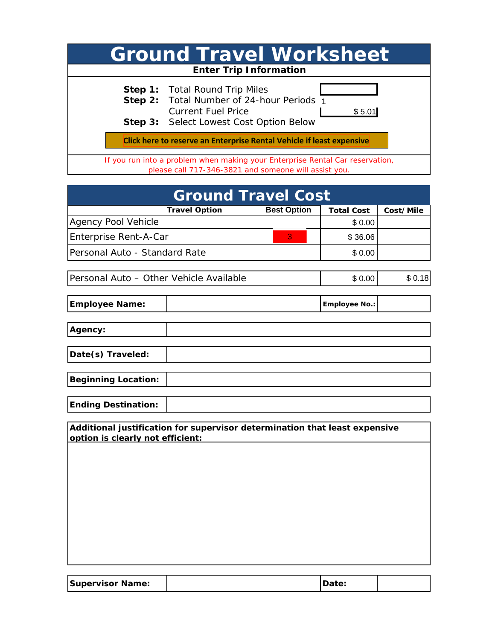|                                                                                                                                        | <b>Ground Travel Worksheet</b>                                                                                                                                              |  |  |  |
|----------------------------------------------------------------------------------------------------------------------------------------|-----------------------------------------------------------------------------------------------------------------------------------------------------------------------------|--|--|--|
|                                                                                                                                        | <b>Enter Trip Information</b>                                                                                                                                               |  |  |  |
|                                                                                                                                        | <b>Step 1:</b> Total Round Trip Miles<br>Step 2: Total Number of 24-hour Periods 1<br><b>Current Fuel Price</b><br>\$5.01<br><b>Step 3:</b> Select Lowest Cost Option Below |  |  |  |
| Click here to reserve an Enterprise Rental Vehicle if least expensive                                                                  |                                                                                                                                                                             |  |  |  |
| If you run into a problem when making your Enterprise Rental Car reservation,<br>please call 717-346-3821 and someone will assist you. |                                                                                                                                                                             |  |  |  |

| Step 2:                                                                    | <b>Current Fuel Price</b>                                                                                                              | 1 lotal Number of 24-hour Periods 1 | \$5.01                      |           |
|----------------------------------------------------------------------------|----------------------------------------------------------------------------------------------------------------------------------------|-------------------------------------|-----------------------------|-----------|
|                                                                            | <b>Step 3: Select Lowest Cost Option Below</b>                                                                                         |                                     |                             |           |
|                                                                            | Click here to reserve an Enterprise Rental Vehicle if least expensive                                                                  |                                     |                             |           |
|                                                                            | If you run into a problem when making your Enterprise Rental Car reservation,<br>please call 717-346-3821 and someone will assist you. |                                     |                             |           |
|                                                                            |                                                                                                                                        |                                     |                             |           |
|                                                                            |                                                                                                                                        | <b>Ground Travel Cost</b>           |                             |           |
|                                                                            | <b>Travel Option</b>                                                                                                                   | <b>Best Option</b>                  | <b>Total Cost</b><br>\$0.00 | Cost/Mile |
| Agency Pool Vehicle<br>Enterprise Rent-A-Car                               |                                                                                                                                        | 3                                   | \$36.06                     |           |
| Personal Auto - Standard Rate                                              |                                                                                                                                        |                                     | \$0.00                      |           |
|                                                                            |                                                                                                                                        |                                     |                             |           |
| Personal Auto - Other Vehicle Available                                    |                                                                                                                                        |                                     | \$0.00                      | \$0.18    |
| <b>Employee Name:</b>                                                      |                                                                                                                                        |                                     | <b>Employee No.:</b>        |           |
| Agency:                                                                    |                                                                                                                                        |                                     |                             |           |
| Date(s) Traveled:                                                          |                                                                                                                                        |                                     |                             |           |
| <b>Beginning Location:</b>                                                 |                                                                                                                                        |                                     |                             |           |
| <b>Ending Destination:</b>                                                 |                                                                                                                                        |                                     |                             |           |
| Additional justification for supervisor determination that least expensive |                                                                                                                                        |                                     |                             |           |
| option is clearly not efficient:                                           |                                                                                                                                        |                                     |                             |           |
|                                                                            |                                                                                                                                        |                                     |                             |           |
|                                                                            |                                                                                                                                        |                                     |                             |           |
|                                                                            |                                                                                                                                        |                                     |                             |           |
|                                                                            |                                                                                                                                        |                                     |                             |           |
|                                                                            |                                                                                                                                        |                                     |                             |           |
|                                                                            |                                                                                                                                        |                                     |                             |           |

| <b>Supervisor Name:</b> |  |  |  |
|-------------------------|--|--|--|
|-------------------------|--|--|--|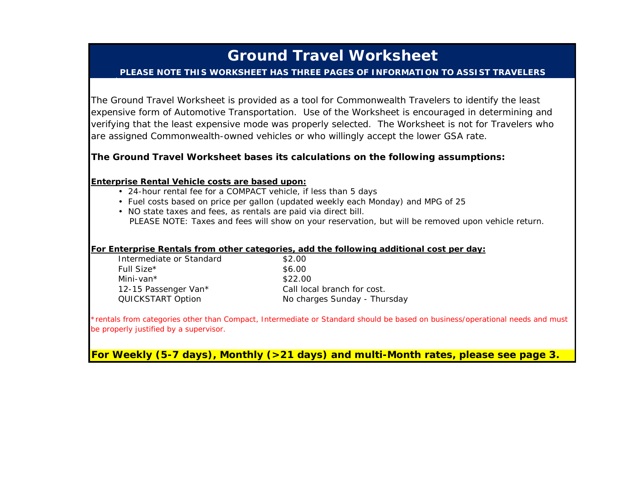# **Ground Travel Worksheet**

### **PLEASE NOTE THIS WORKSHEET HAS THREE PAGES OF INFORMATION TO ASSIST TRAVELERS**

The Ground Travel Worksheet is provided as a tool for Commonwealth Travelers to identify the least expensive form of Automotive Transportation. Use of the Worksheet is encouraged in determining and verifying that the least expensive mode was properly selected. The Worksheet is not for Travelers who are assigned Commonwealth-owned vehicles or who willingly accept the lower GSA rate.

## **The Ground Travel Worksheet bases its calculations on the following assumptions:**

#### **Enterprise Rental Vehicle costs are based upon:**

- 24-hour rental fee for a COMPACT vehicle, if less than 5 days
- Fuel costs based on price per gallon (updated weekly each Monday) and MPG of 25
- NO state taxes and fees, as rentals are paid via direct bill. *PLEASE NOTE: Taxes and fees will show on your reservation, but will be removed upon vehicle return.*

#### **For Enterprise Rentals from other categories, add the following additional cost per day:**

| \$2.00                      |
|-----------------------------|
| \$6.00                      |
| \$22.00                     |
| Call local branch for cost. |
| No charges Sunday - Thu     |
|                             |

*\*rentals from categories other than Compact, Intermediate or Standard should be based on business/operational needs and must be properly justified by a supervisor.*

Thursday

**For Weekly (5-7 days), Monthly (>21 days) and multi-Month rates, please see page 3.**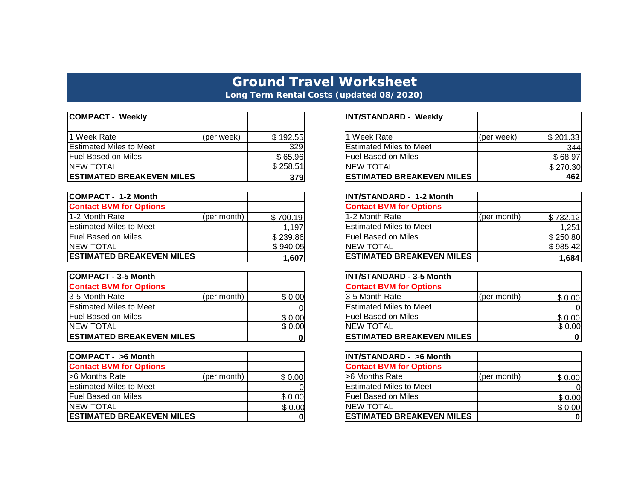# **Ground Travel Worksheet Long Term Rental Costs (updated 08/2020)**

| <b>COMPACT - Weekly</b>          |            |          | <b>INT/STANDARD - Weekly</b>     |            |
|----------------------------------|------------|----------|----------------------------------|------------|
|                                  |            |          |                                  |            |
| 1 Week Rate                      | (per week) | \$192.55 | 1 Week Rate                      | (per week) |
| <b>Estimated Miles to Meet</b>   |            | 329      | <b>Estimated Miles to Meet</b>   |            |
| <b>Fuel Based on Miles</b>       |            | \$65.96  | IFuel Based on Miles             |            |
| <b>INEW TOTAL</b>                |            | \$258.51 | <b>INEW TOTAL</b>                |            |
| <b>ESTIMATED BREAKEVEN MILES</b> |            | 379      | <b>ESTIMATED BREAKEVEN MILES</b> |            |

| <b>COMPACT - 1-2 Month</b>       |             |          | <b>INT/STANDARD - 1-2 Month</b>  |             |
|----------------------------------|-------------|----------|----------------------------------|-------------|
| <b>Contact BVM for Options</b>   |             |          | <b>Contact BVM for Options</b>   |             |
| 1-2 Month Rate                   | (per month) | \$700.19 | 1-2 Month Rate                   | (per month) |
| <b>Estimated Miles to Meet</b>   |             | 1,197    | <b>Estimated Miles to Meet</b>   |             |
| <b>Fuel Based on Miles</b>       |             | \$239.86 | <b>Fuel Based on Miles</b>       |             |
| <b>INEW TOTAL</b>                |             | \$940.05 | <b>INEW TOTAL</b>                |             |
| <b>ESTIMATED BREAKEVEN MILES</b> |             | 1,607    | <b>ESTIMATED BREAKEVEN MILES</b> |             |

| <b>COMPACT - 3-5 Month</b>       |             |        | <b>INT/STANDARD - 3-5 Month</b>  |             |
|----------------------------------|-------------|--------|----------------------------------|-------------|
| <b>Contact BVM for Options</b>   |             |        | <b>Contact BVM for Options</b>   |             |
| 13-5 Month Rate                  | (per month) | \$0.00 | 3-5 Month Rate                   | (per month) |
| <b>Estimated Miles to Meet</b>   |             |        | <b>Estimated Miles to Meet</b>   |             |
| <b>Fuel Based on Miles</b>       |             | \$0.00 | l Fuel Based on Miles            |             |
| <b>INEW TOTAL</b>                |             | \$0.00 | <b>NEW TOTAL</b>                 |             |
| <b>ESTIMATED BREAKEVEN MILES</b> |             |        | <b>ESTIMATED BREAKEVEN MILES</b> |             |

| COMPACT - >6 Month                |             |        | <b>INT/STANDARD - &gt;6 Month</b> |             |
|-----------------------------------|-------------|--------|-----------------------------------|-------------|
| <b>Contact BVM for Options</b>    |             |        | <b>Contact BVM for Options</b>    |             |
| S6 Months Rate                    | (per month) | \$0.00 | I>6 Months Rate                   | (per month) |
| <b>Estimated Miles to Meet</b>    |             |        | <b>Estimated Miles to Meet</b>    |             |
| <b>Fuel Based on Miles</b>        |             | \$0.00 | <b>IFuel Based on Miles</b>       |             |
| <b>INEW TOTAL</b>                 |             | \$0.00 | <b>INEW TOTAL</b>                 |             |
| <b>IESTIMATED BREAKEVEN MILES</b> |             |        | <b>IESTIMATED BREAKEVEN MILES</b> |             |

|          | <b>INT/STANDARD - Weekly</b>     |            |          |
|----------|----------------------------------|------------|----------|
|          |                                  |            |          |
| \$192.55 | 1 Week Rate                      | (per week) | \$201.33 |
| 329      | <b>Estimated Miles to Meet</b>   |            | 344      |
| \$65.96  | <b>Fuel Based on Miles</b>       |            | \$68.97  |
| \$258.51 | <b>NEW TOTAL</b>                 |            | \$270.30 |
| 379      | <b>ESTIMATED BREAKEVEN MILES</b> |            | 462      |

|          | INT/STANDARD - 1-2 Month         |             |          |
|----------|----------------------------------|-------------|----------|
|          | <b>Contact BVM for Options</b>   |             |          |
| 1700.19∛ | 1-2 Month Rate                   | (per month) | \$732.12 |
| 1.197    | <b>Estimated Miles to Meet</b>   |             | 1,251    |
| \$239.86 | <b>Fuel Based on Miles</b>       |             | \$250.80 |
| \$940.05 | <b>NEW TOTAL</b>                 |             | \$985.42 |
| 1,607    | <b>ESTIMATED BREAKEVEN MILES</b> |             | 1.684    |

| 329      | <b>Estimated Miles to Meet</b>    |             | 344      |
|----------|-----------------------------------|-------------|----------|
| \$65.96  | <b>Fuel Based on Miles</b>        |             | \$68.97  |
| \$258.51 | <b>NEW TOTAL</b>                  |             | \$270.30 |
| 379      | <b>ESTIMATED BREAKEVEN MILES</b>  |             | 462      |
|          |                                   |             |          |
|          | <b>INT/STANDARD - 1-2 Month</b>   |             |          |
|          | <b>Contact BVM for Options</b>    |             |          |
| \$700.19 | 1-2 Month Rate                    | (per month) | \$732.12 |
| 1,197    | <b>Estimated Miles to Meet</b>    |             | 1,251    |
| \$239.86 | <b>Fuel Based on Miles</b>        |             | \$250.80 |
| \$940.05 | <b>NEW TOTAL</b>                  |             | \$985.42 |
| 1,607    | <b>ESTIMATED BREAKEVEN MILES</b>  |             | 1,684    |
|          |                                   |             |          |
|          | <b>INT/STANDARD - 3-5 Month</b>   |             |          |
|          | <b>Contact BVM for Options</b>    |             |          |
| \$0.00   | 3-5 Month Rate                    | (per month) | \$0.00   |
|          | <b>Estimated Miles to Meet</b>    |             |          |
| \$0.00   | <b>Fuel Based on Miles</b>        |             | \$0.00   |
| \$0.00   | <b>NEW TOTAL</b>                  |             | \$0.00   |
| 0        | <b>ESTIMATED BREAKEVEN MILES</b>  |             | 0        |
|          |                                   |             |          |
|          | <b>INT/STANDARD - &gt;6 Month</b> |             |          |
|          | <b>Contact BVM for Options</b>    |             |          |
| \$0.00   | >6 Months Rate                    | (per month) | \$0.00   |
|          | <b>Estimated Miles to Meet</b>    |             |          |
| \$0.00   | <b>Fuel Based on Miles</b>        |             | \$0.00   |
| \$0.00   | <b>NEW TOTAL</b>                  |             | \$0.00   |

| <b>INT/STANDARD - &gt;6 Month</b> |             |        |
|-----------------------------------|-------------|--------|
| <b>Contact BVM for Options</b>    |             |        |
| -6 Months Rate                    | (per month) | \$0.00 |
| <b>IEstimated Miles to Meet</b>   |             |        |
| <b>Fuel Based on Miles</b>        |             | \$0.00 |
| <b>NEW TOTAL</b>                  |             | \$0.00 |
| <b>ESTIMATED BREAKEVEN MILES</b>  |             |        |